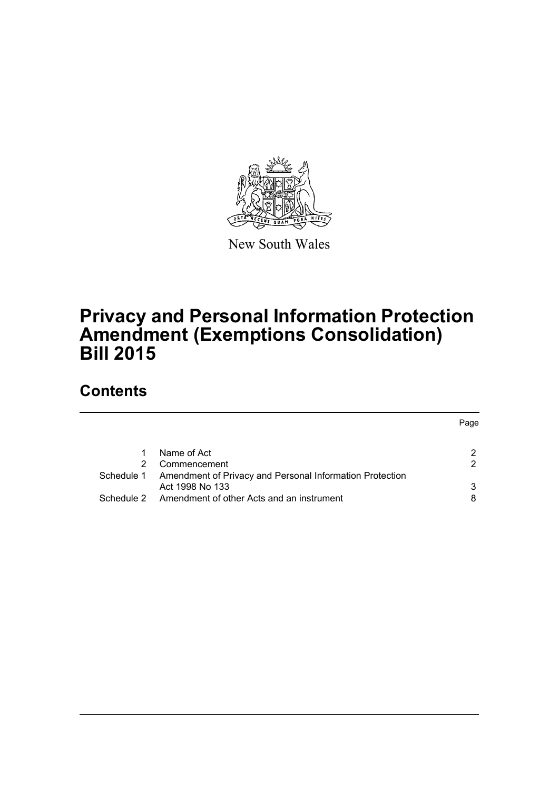

New South Wales

# **Privacy and Personal Information Protection Amendment (Exemptions Consolidation) Bill 2015**

# **Contents**

|                                                          | Page          |
|----------------------------------------------------------|---------------|
| Name of Act                                              | 2             |
| Commencement                                             | $\mathcal{P}$ |
| Amendment of Privacy and Personal Information Protection |               |
| Act 1998 No 133                                          | 3             |
| Amendment of other Acts and an instrument                |               |
|                                                          |               |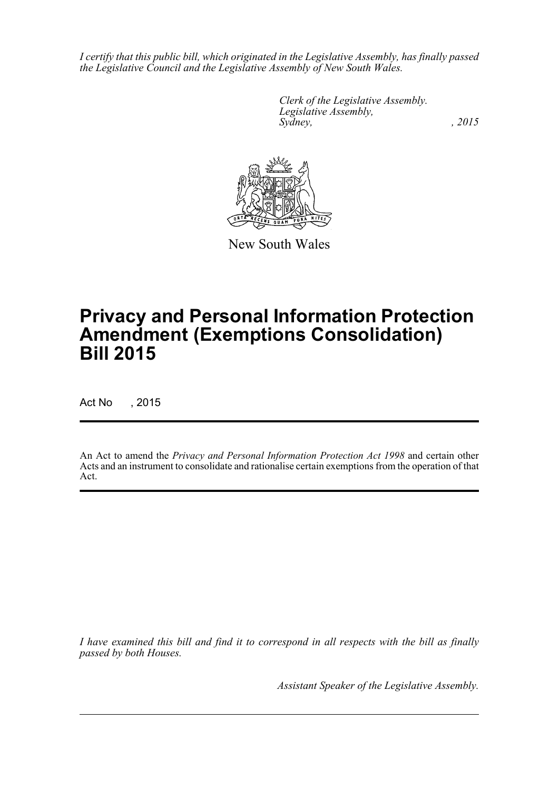*I certify that this public bill, which originated in the Legislative Assembly, has finally passed the Legislative Council and the Legislative Assembly of New South Wales.*

> *Clerk of the Legislative Assembly. Legislative Assembly, Sydney,* , 2015



New South Wales

# **Privacy and Personal Information Protection Amendment (Exemptions Consolidation) Bill 2015**

Act No , 2015

An Act to amend the *Privacy and Personal Information Protection Act 1998* and certain other Acts and an instrument to consolidate and rationalise certain exemptions from the operation of that Act.

*I have examined this bill and find it to correspond in all respects with the bill as finally passed by both Houses.*

*Assistant Speaker of the Legislative Assembly.*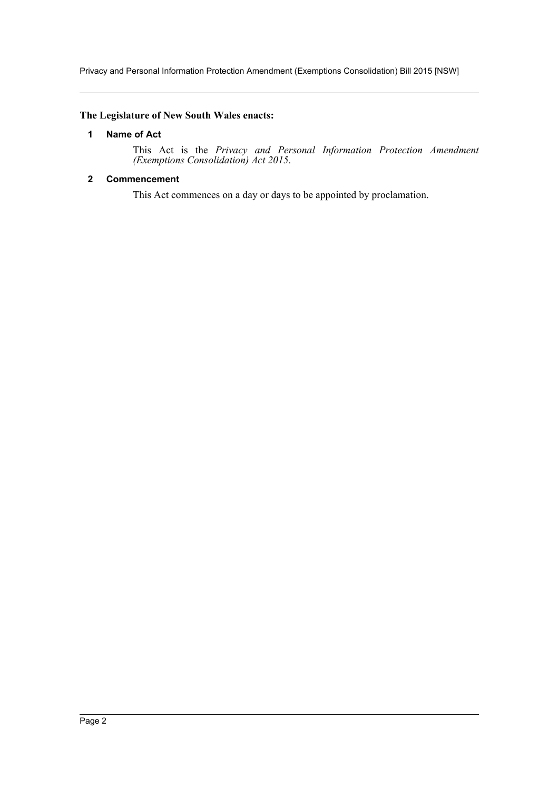Privacy and Personal Information Protection Amendment (Exemptions Consolidation) Bill 2015 [NSW]

# <span id="page-2-0"></span>**The Legislature of New South Wales enacts:**

# **1 Name of Act**

This Act is the *Privacy and Personal Information Protection Amendment (Exemptions Consolidation) Act 2015*.

# <span id="page-2-1"></span>**2 Commencement**

This Act commences on a day or days to be appointed by proclamation.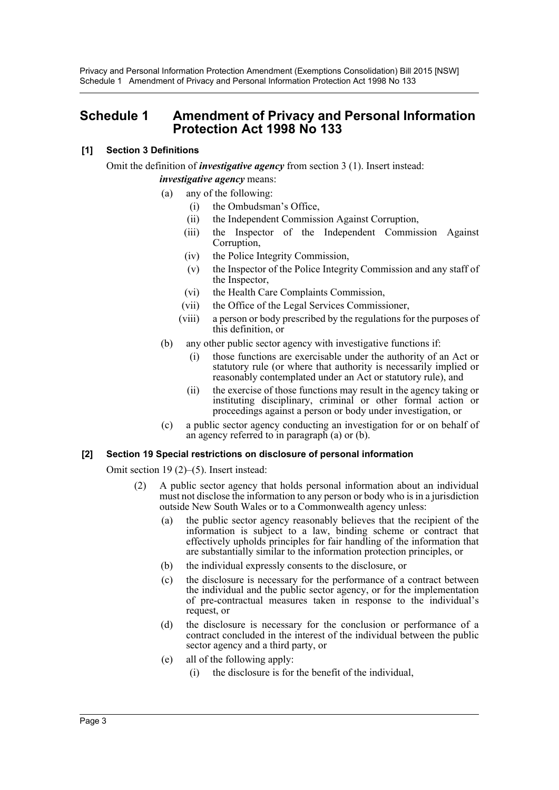Privacy and Personal Information Protection Amendment (Exemptions Consolidation) Bill 2015 [NSW] Schedule 1 Amendment of Privacy and Personal Information Protection Act 1998 No 133

# <span id="page-3-0"></span>**Schedule 1 Amendment of Privacy and Personal Information Protection Act 1998 No 133**

## **[1] Section 3 Definitions**

Omit the definition of *investigative agency* from section 3 (1). Insert instead:

*investigative agency* means:

- (a) any of the following:
	- (i) the Ombudsman's Office,
	- (ii) the Independent Commission Against Corruption,
	- (iii) the Inspector of the Independent Commission Against Corruption,
	- (iv) the Police Integrity Commission,
	- (v) the Inspector of the Police Integrity Commission and any staff of the Inspector,
	- (vi) the Health Care Complaints Commission,
	- (vii) the Office of the Legal Services Commissioner,
	- (viii) a person or body prescribed by the regulations for the purposes of this definition, or
- (b) any other public sector agency with investigative functions if:
	- (i) those functions are exercisable under the authority of an Act or statutory rule (or where that authority is necessarily implied or reasonably contemplated under an Act or statutory rule), and
	- (ii) the exercise of those functions may result in the agency taking or instituting disciplinary, criminal or other formal action or proceedings against a person or body under investigation, or
- (c) a public sector agency conducting an investigation for or on behalf of an agency referred to in paragraph (a) or (b).

## **[2] Section 19 Special restrictions on disclosure of personal information**

Omit section 19 (2)–(5). Insert instead:

- (2) A public sector agency that holds personal information about an individual must not disclose the information to any person or body who is in a jurisdiction outside New South Wales or to a Commonwealth agency unless:
	- (a) the public sector agency reasonably believes that the recipient of the information is subject to a law, binding scheme or contract that effectively upholds principles for fair handling of the information that are substantially similar to the information protection principles, or
	- (b) the individual expressly consents to the disclosure, or
	- (c) the disclosure is necessary for the performance of a contract between the individual and the public sector agency, or for the implementation of pre-contractual measures taken in response to the individual's request, or
	- (d) the disclosure is necessary for the conclusion or performance of a contract concluded in the interest of the individual between the public sector agency and a third party, or
	- (e) all of the following apply:
		- (i) the disclosure is for the benefit of the individual,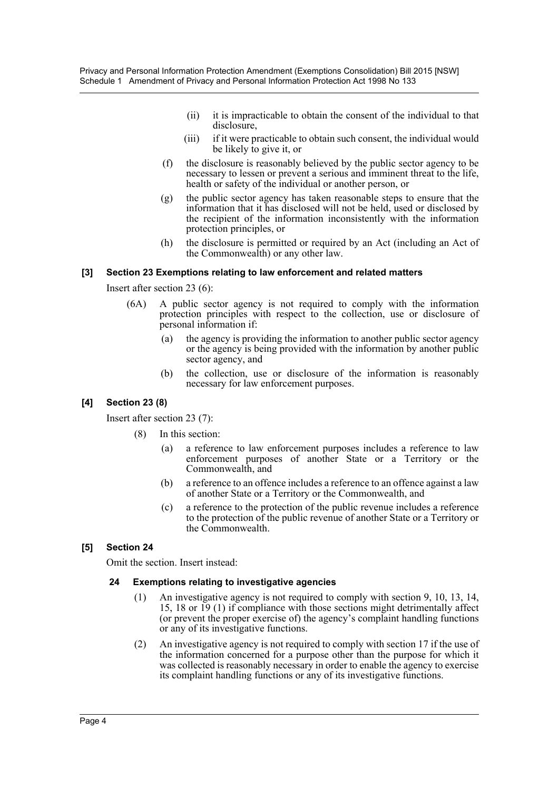- (ii) it is impracticable to obtain the consent of the individual to that disclosure,
- (iii) if it were practicable to obtain such consent, the individual would be likely to give it, or
- (f) the disclosure is reasonably believed by the public sector agency to be necessary to lessen or prevent a serious and imminent threat to the life, health or safety of the individual or another person, or
- (g) the public sector agency has taken reasonable steps to ensure that the information that it has disclosed will not be held, used or disclosed by the recipient of the information inconsistently with the information protection principles, or
- (h) the disclosure is permitted or required by an Act (including an Act of the Commonwealth) or any other law.

# **[3] Section 23 Exemptions relating to law enforcement and related matters**

Insert after section 23 (6):

- (6A) A public sector agency is not required to comply with the information protection principles with respect to the collection, use or disclosure of personal information if:
	- (a) the agency is providing the information to another public sector agency or the agency is being provided with the information by another public sector agency, and
	- (b) the collection, use or disclosure of the information is reasonably necessary for law enforcement purposes.

# **[4] Section 23 (8)**

Insert after section 23 (7):

- (8) In this section:
	- (a) a reference to law enforcement purposes includes a reference to law enforcement purposes of another State or a Territory or the Commonwealth, and
	- (b) a reference to an offence includes a reference to an offence against a law of another State or a Territory or the Commonwealth, and
	- (c) a reference to the protection of the public revenue includes a reference to the protection of the public revenue of another State or a Territory or the Commonwealth.

# **[5] Section 24**

Omit the section. Insert instead:

## **24 Exemptions relating to investigative agencies**

- (1) An investigative agency is not required to comply with section 9, 10, 13, 14, 15, 18 or 19 (1) if compliance with those sections might detrimentally affect (or prevent the proper exercise of) the agency's complaint handling functions or any of its investigative functions.
- (2) An investigative agency is not required to comply with section 17 if the use of the information concerned for a purpose other than the purpose for which it was collected is reasonably necessary in order to enable the agency to exercise its complaint handling functions or any of its investigative functions.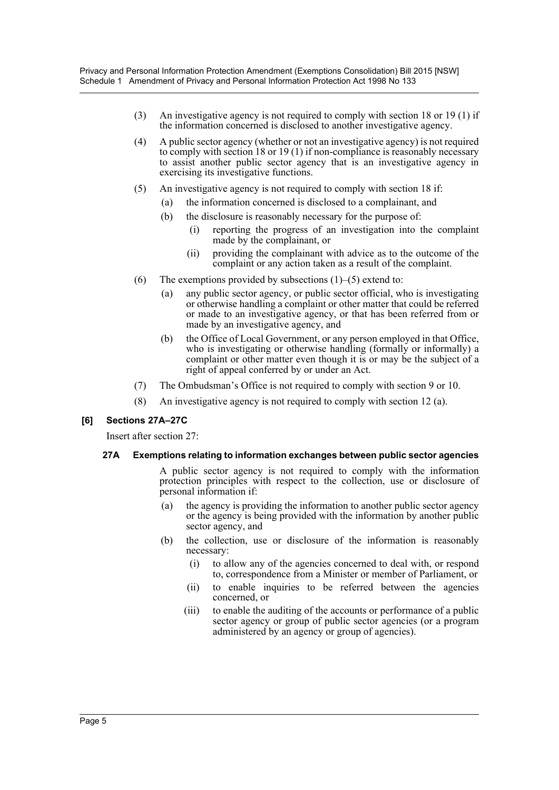- (3) An investigative agency is not required to comply with section 18 or 19 (1) if the information concerned is disclosed to another investigative agency.
- (4) A public sector agency (whether or not an investigative agency) is not required to comply with section 18 or 19 (1) if non-compliance is reasonably necessary to assist another public sector agency that is an investigative agency in exercising its investigative functions.
- (5) An investigative agency is not required to comply with section 18 if:
	- (a) the information concerned is disclosed to a complainant, and
	- (b) the disclosure is reasonably necessary for the purpose of:
		- (i) reporting the progress of an investigation into the complaint made by the complainant, or
		- (ii) providing the complainant with advice as to the outcome of the complaint or any action taken as a result of the complaint.
- (6) The exemptions provided by subsections  $(1)$ – $(5)$  extend to:
	- (a) any public sector agency, or public sector official, who is investigating or otherwise handling a complaint or other matter that could be referred or made to an investigative agency, or that has been referred from or made by an investigative agency, and
	- (b) the Office of Local Government, or any person employed in that Office, who is investigating or otherwise handling (formally or informally) a complaint or other matter even though it is or may be the subject of a right of appeal conferred by or under an Act.
- (7) The Ombudsman's Office is not required to comply with section 9 or 10.
- (8) An investigative agency is not required to comply with section 12 (a).

## **[6] Sections 27A–27C**

Insert after section 27:

#### **27A Exemptions relating to information exchanges between public sector agencies**

A public sector agency is not required to comply with the information protection principles with respect to the collection, use or disclosure of personal information if:

- (a) the agency is providing the information to another public sector agency or the agency is being provided with the information by another public sector agency, and
- (b) the collection, use or disclosure of the information is reasonably necessary:
	- (i) to allow any of the agencies concerned to deal with, or respond to, correspondence from a Minister or member of Parliament, or
	- (ii) to enable inquiries to be referred between the agencies concerned, or
	- (iii) to enable the auditing of the accounts or performance of a public sector agency or group of public sector agencies (or a program administered by an agency or group of agencies).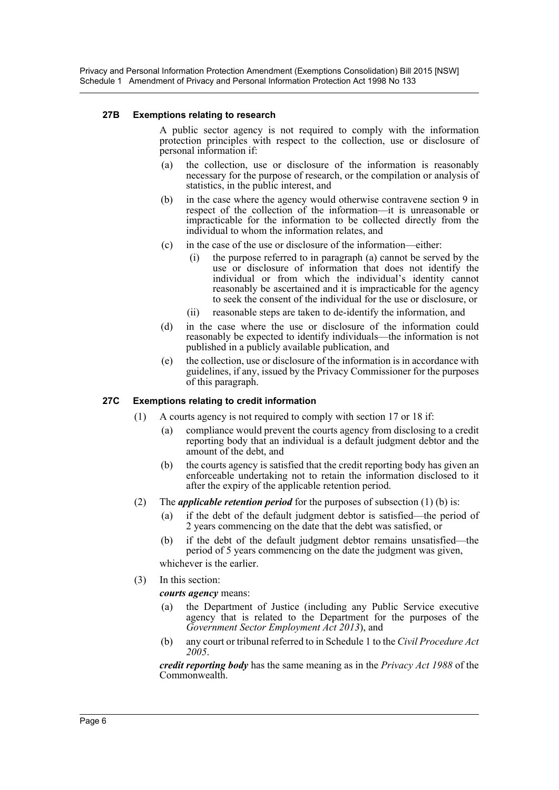Privacy and Personal Information Protection Amendment (Exemptions Consolidation) Bill 2015 [NSW] Schedule 1 Amendment of Privacy and Personal Information Protection Act 1998 No 133

#### **27B Exemptions relating to research**

A public sector agency is not required to comply with the information protection principles with respect to the collection, use or disclosure of personal information if:

- (a) the collection, use or disclosure of the information is reasonably necessary for the purpose of research, or the compilation or analysis of statistics, in the public interest, and
- (b) in the case where the agency would otherwise contravene section 9 in respect of the collection of the information—it is unreasonable or impracticable for the information to be collected directly from the individual to whom the information relates, and
- (c) in the case of the use or disclosure of the information—either:
	- (i) the purpose referred to in paragraph (a) cannot be served by the use or disclosure of information that does not identify the individual or from which the individual's identity cannot reasonably be ascertained and it is impracticable for the agency to seek the consent of the individual for the use or disclosure, or
	- (ii) reasonable steps are taken to de-identify the information, and
- (d) in the case where the use or disclosure of the information could reasonably be expected to identify individuals—the information is not published in a publicly available publication, and
- (e) the collection, use or disclosure of the information is in accordance with guidelines, if any, issued by the Privacy Commissioner for the purposes of this paragraph.

## **27C Exemptions relating to credit information**

- (1) A courts agency is not required to comply with section 17 or 18 if:
	- (a) compliance would prevent the courts agency from disclosing to a credit reporting body that an individual is a default judgment debtor and the amount of the debt, and
	- (b) the courts agency is satisfied that the credit reporting body has given an enforceable undertaking not to retain the information disclosed to it after the expiry of the applicable retention period.
- (2) The *applicable retention period* for the purposes of subsection (1) (b) is:
	- (a) if the debt of the default judgment debtor is satisfied—the period of 2 years commencing on the date that the debt was satisfied, or
	- (b) if the debt of the default judgment debtor remains unsatisfied—the period of 5 years commencing on the date the judgment was given, whichever is the earlier.
- (3) In this section:

*courts agency* means:

- (a) the Department of Justice (including any Public Service executive agency that is related to the Department for the purposes of the *Government Sector Employment Act 2013*), and
- (b) any court or tribunal referred to in Schedule 1 to the *Civil Procedure Act 2005*.

*credit reporting body* has the same meaning as in the *Privacy Act 1988* of the Commonwealth.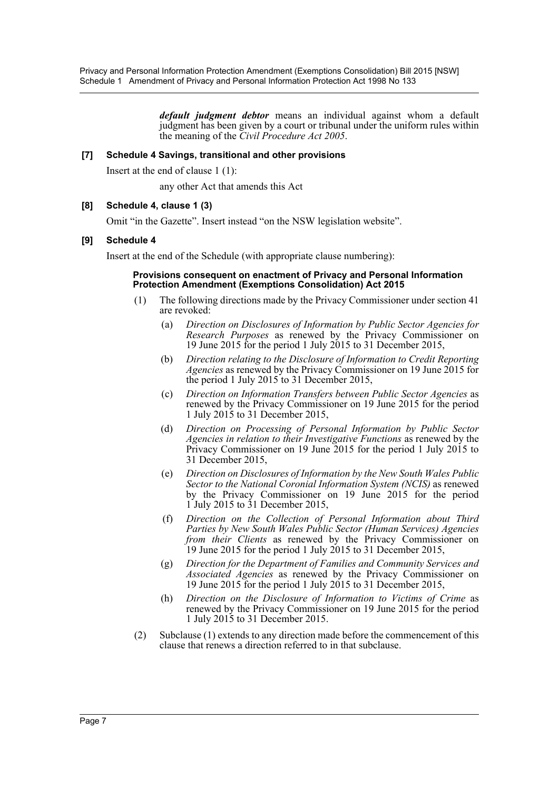*default judgment debtor* means an individual against whom a default judgment has been given by a court or tribunal under the uniform rules within the meaning of the *Civil Procedure Act 2005*.

## **[7] Schedule 4 Savings, transitional and other provisions**

Insert at the end of clause 1 (1):

any other Act that amends this Act

# **[8] Schedule 4, clause 1 (3)**

Omit "in the Gazette". Insert instead "on the NSW legislation website".

## **[9] Schedule 4**

Insert at the end of the Schedule (with appropriate clause numbering):

#### **Provisions consequent on enactment of Privacy and Personal Information Protection Amendment (Exemptions Consolidation) Act 2015**

- (1) The following directions made by the Privacy Commissioner under section 41 are revoked:
	- (a) *Direction on Disclosures of Information by Public Sector Agencies for Research Purposes* as renewed by the Privacy Commissioner on 19 June 2015 for the period 1 July 2015 to 31 December 2015,
	- (b) *Direction relating to the Disclosure of Information to Credit Reporting Agencies* as renewed by the Privacy Commissioner on 19 June 2015 for the period 1 July 2015 to 31 December 2015,
	- (c) *Direction on Information Transfers between Public Sector Agencies* as renewed by the Privacy Commissioner on 19 June 2015 for the period 1 July 2015 to 31 December 2015,
	- (d) *Direction on Processing of Personal Information by Public Sector Agencies in relation to their Investigative Functions* as renewed by the Privacy Commissioner on 19 June 2015 for the period 1 July 2015 to 31 December 2015,
	- (e) *Direction on Disclosures of Information by the New South Wales Public Sector to the National Coronial Information System (NCIS)* as renewed by the Privacy Commissioner on 19 June 2015 for the period 1 July 2015 to 31 December 2015,
	- (f) *Direction on the Collection of Personal Information about Third Parties by New South Wales Public Sector (Human Services) Agencies from their Clients* as renewed by the Privacy Commissioner on 19 June 2015 for the period 1 July 2015 to 31 December 2015,
	- (g) *Direction for the Department of Families and Community Services and Associated Agencies* as renewed by the Privacy Commissioner on 19 June 2015 for the period 1 July 2015 to 31 December 2015,
	- (h) *Direction on the Disclosure of Information to Victims of Crime* as renewed by the Privacy Commissioner on 19 June 2015 for the period 1 July 2015 to 31 December 2015.
- (2) Subclause (1) extends to any direction made before the commencement of this clause that renews a direction referred to in that subclause.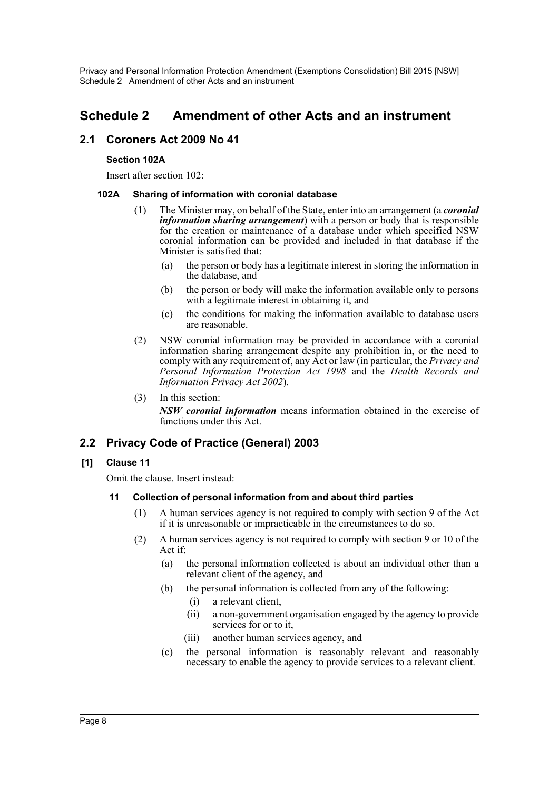# <span id="page-8-0"></span>**Schedule 2 Amendment of other Acts and an instrument**

# **2.1 Coroners Act 2009 No 41**

# **Section 102A**

Insert after section 102:

# **102A Sharing of information with coronial database**

- (1) The Minister may, on behalf of the State, enter into an arrangement (a *coronial information sharing arrangement*) with a person or body that is responsible for the creation or maintenance of a database under which specified NSW coronial information can be provided and included in that database if the Minister is satisfied that:
	- (a) the person or body has a legitimate interest in storing the information in the database, and
	- (b) the person or body will make the information available only to persons with a legitimate interest in obtaining it, and
	- (c) the conditions for making the information available to database users are reasonable.
- (2) NSW coronial information may be provided in accordance with a coronial information sharing arrangement despite any prohibition in, or the need to comply with any requirement of, any Act or law (in particular, the *Privacy and Personal Information Protection Act 1998* and the *Health Records and Information Privacy Act 2002*).
- (3) In this section:

*NSW coronial information* means information obtained in the exercise of functions under this Act.

# **2.2 Privacy Code of Practice (General) 2003**

# **[1] Clause 11**

Omit the clause. Insert instead:

# **11 Collection of personal information from and about third parties**

- (1) A human services agency is not required to comply with section 9 of the Act if it is unreasonable or impracticable in the circumstances to do so.
- (2) A human services agency is not required to comply with section 9 or 10 of the Act if:
	- (a) the personal information collected is about an individual other than a relevant client of the agency, and
	- (b) the personal information is collected from any of the following:
		- (i) a relevant client,
		- (ii) a non-government organisation engaged by the agency to provide services for or to it,
		- (iii) another human services agency, and
	- (c) the personal information is reasonably relevant and reasonably necessary to enable the agency to provide services to a relevant client.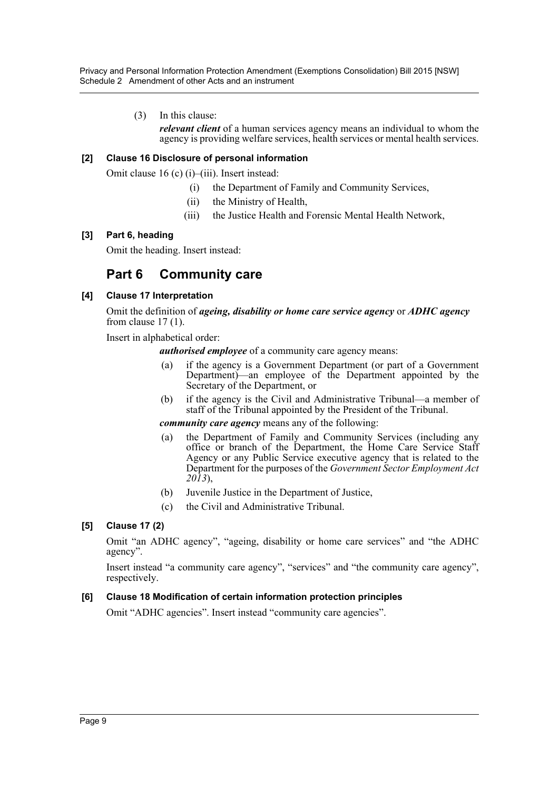Privacy and Personal Information Protection Amendment (Exemptions Consolidation) Bill 2015 [NSW] Schedule 2 Amendment of other Acts and an instrument

(3) In this clause:

*relevant client* of a human services agency means an individual to whom the agency is providing welfare services, health services or mental health services.

## **[2] Clause 16 Disclosure of personal information**

Omit clause 16 (c) (i)–(iii). Insert instead:

- (i) the Department of Family and Community Services,
- (ii) the Ministry of Health,
- (iii) the Justice Health and Forensic Mental Health Network,

#### **[3] Part 6, heading**

Omit the heading. Insert instead:

# **Part 6 Community care**

#### **[4] Clause 17 Interpretation**

Omit the definition of *ageing, disability or home care service agency* or *ADHC agency*  from clause  $17(1)$ .

Insert in alphabetical order:

*authorised employee* of a community care agency means:

- (a) if the agency is a Government Department (or part of a Government Department)—an employee of the Department appointed by the Secretary of the Department, or
- (b) if the agency is the Civil and Administrative Tribunal—a member of staff of the Tribunal appointed by the President of the Tribunal.

## *community care agency* means any of the following:

- (a) the Department of Family and Community Services (including any office or branch of the Department, the Home Care Service Staff Agency or any Public Service executive agency that is related to the Department for the purposes of the *Government Sector Employment Act 2013*),
- (b) Juvenile Justice in the Department of Justice,
- (c) the Civil and Administrative Tribunal.

## **[5] Clause 17 (2)**

Omit "an ADHC agency", "ageing, disability or home care services" and "the ADHC agency".

Insert instead "a community care agency", "services" and "the community care agency", respectively.

## **[6] Clause 18 Modification of certain information protection principles**

Omit "ADHC agencies". Insert instead "community care agencies".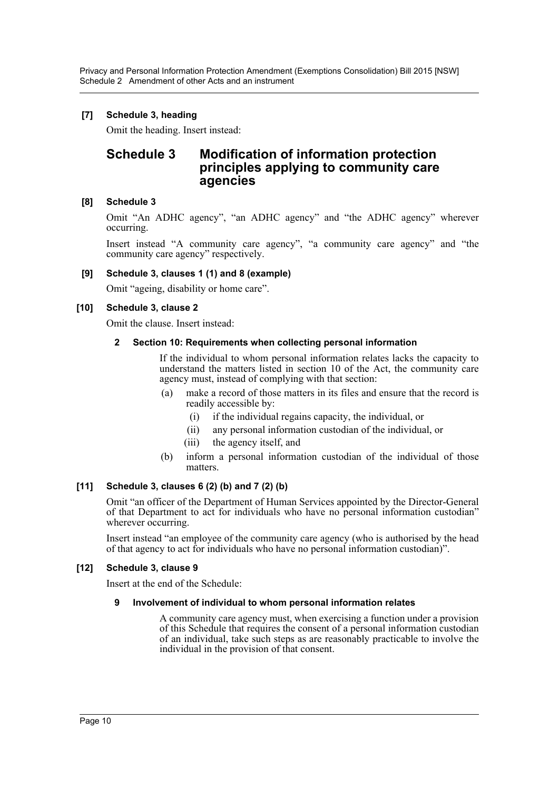Privacy and Personal Information Protection Amendment (Exemptions Consolidation) Bill 2015 [NSW] Schedule 2 Amendment of other Acts and an instrument

# **[7] Schedule 3, heading**

Omit the heading. Insert instead:

# **Schedule 3 Modification of information protection principles applying to community care agencies**

# **[8] Schedule 3**

Omit "An ADHC agency", "an ADHC agency" and "the ADHC agency" wherever occurring.

Insert instead "A community care agency", "a community care agency" and "the community care agency" respectively.

## **[9] Schedule 3, clauses 1 (1) and 8 (example)**

Omit "ageing, disability or home care".

## **[10] Schedule 3, clause 2**

Omit the clause. Insert instead:

## **2 Section 10: Requirements when collecting personal information**

If the individual to whom personal information relates lacks the capacity to understand the matters listed in section 10 of the Act, the community care agency must, instead of complying with that section:

- (a) make a record of those matters in its files and ensure that the record is readily accessible by:
	- (i) if the individual regains capacity, the individual, or
	- (ii) any personal information custodian of the individual, or
	- (iii) the agency itself, and
- (b) inform a personal information custodian of the individual of those matters.

## **[11] Schedule 3, clauses 6 (2) (b) and 7 (2) (b)**

Omit "an officer of the Department of Human Services appointed by the Director-General of that Department to act for individuals who have no personal information custodian" wherever occurring.

Insert instead "an employee of the community care agency (who is authorised by the head of that agency to act for individuals who have no personal information custodian)".

## **[12] Schedule 3, clause 9**

Insert at the end of the Schedule:

## **9 Involvement of individual to whom personal information relates**

A community care agency must, when exercising a function under a provision of this Schedule that requires the consent of a personal information custodian of an individual, take such steps as are reasonably practicable to involve the individual in the provision of that consent.